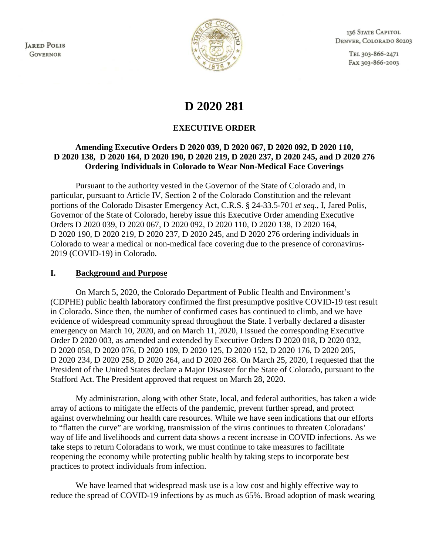**JARED POLIS GOVERNOR** 



136 STATE CAPITOL DENVER, COLORADO 80203

> TEL 303-866-2471 FAX 303-866-2003

# **D 2020 281**

## **EXECUTIVE ORDER**

## **Amending Executive Orders D 2020 039, D 2020 067, D 2020 092, D 2020 110, D 2020 138, D 2020 164, D 2020 190, D 2020 219, D 2020 237, D 2020 245, and D 2020 276 Ordering Individuals in Colorado to Wear Non-Medical Face Coverings**

Pursuant to the authority vested in the Governor of the State of Colorado and, in particular, pursuant to Article IV, Section 2 of the Colorado Constitution and the relevant portions of the Colorado Disaster Emergency Act, C.R.S. § 24-33.5-701 *et seq.*, I, Jared Polis, Governor of the State of Colorado, hereby issue this Executive Order amending Executive Orders D 2020 039, D 2020 067, D 2020 092, D 2020 110, D 2020 138, D 2020 164, D 2020 190, D 2020 219, D 2020 237, D 2020 245, and D 2020 276 ordering individuals in Colorado to wear a medical or non-medical face covering due to the presence of coronavirus-2019 (COVID-19) in Colorado.

#### **I. Background and Purpose**

On March 5, 2020, the Colorado Department of Public Health and Environment's (CDPHE) public health laboratory confirmed the first presumptive positive COVID-19 test result in Colorado. Since then, the number of confirmed cases has continued to climb, and we have evidence of widespread community spread throughout the State. I verbally declared a disaster emergency on March 10, 2020, and on March 11, 2020, I issued the corresponding Executive Order D 2020 003, as amended and extended by Executive Orders D 2020 018, D 2020 032, D 2020 058, D 2020 076, D 2020 109, D 2020 125, D 2020 152, D 2020 176, D 2020 205, D 2020 234, D 2020 258, D 2020 264, and D 2020 268. On March 25, 2020, I requested that the President of the United States declare a Major Disaster for the State of Colorado, pursuant to the Stafford Act. The President approved that request on March 28, 2020.

My administration, along with other State, local, and federal authorities, has taken a wide array of actions to mitigate the effects of the pandemic, prevent further spread, and protect against overwhelming our health care resources. While we have seen indications that our efforts to "flatten the curve" are working, transmission of the virus continues to threaten Coloradans' way of life and livelihoods and current data shows a recent increase in COVID infections. As we take steps to return Coloradans to work, we must continue to take measures to facilitate reopening the economy while protecting public health by taking steps to incorporate best practices to protect individuals from infection.

We have learned that widespread mask use is a low cost and highly effective way to reduce the spread of COVID-19 infections by as much as 65%. Broad adoption of mask wearing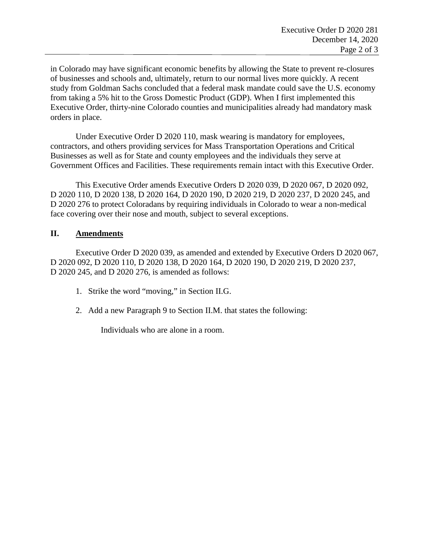in Colorado may have significant economic benefits by allowing the State to prevent re-closures of businesses and schools and, ultimately, return to our normal lives more quickly. A recent study from Goldman Sachs concluded that a federal mask mandate could save the U.S. economy from taking a 5% hit to the Gross Domestic Product (GDP). When I first implemented this Executive Order, thirty-nine Colorado counties and municipalities already had mandatory mask orders in place.

Under Executive Order D 2020 110, mask wearing is mandatory for employees, contractors, and others providing services for Mass Transportation Operations and Critical Businesses as well as for State and county employees and the individuals they serve at Government Offices and Facilities. These requirements remain intact with this Executive Order.

This Executive Order amends Executive Orders D 2020 039, D 2020 067, D 2020 092, D 2020 110, D 2020 138, D 2020 164, D 2020 190, D 2020 219, D 2020 237, D 2020 245, and D 2020 276 to protect Coloradans by requiring individuals in Colorado to wear a non-medical face covering over their nose and mouth, subject to several exceptions.

## **II. Amendments**

Executive Order D 2020 039, as amended and extended by Executive Orders D 2020 067, D 2020 092, D 2020 110, D 2020 138, D 2020 164, D 2020 190, D 2020 219, D 2020 237, D 2020 245, and D 2020 276, is amended as follows:

- 1. Strike the word "moving," in Section II.G.
- 2. Add a new Paragraph 9 to Section II.M. that states the following:

Individuals who are alone in a room.